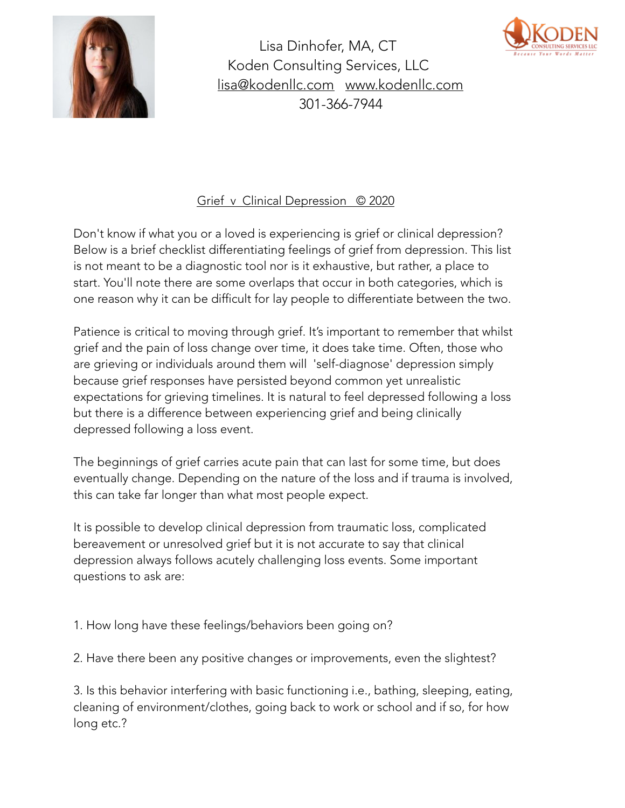

Lisa Dinhofer, MA, CT Koden Consulting Services, LLC [lisa@kodenllc.com](mailto:lisa@kodenllc.com) [www.kodenllc.com](http://www.kodenllc.com) 301-366-7944



## Grief v Clinical Depression © 2020

Don't know if what you or a loved is experiencing is grief or clinical depression? Below is a brief checklist differentiating feelings of grief from depression. This list is not meant to be a diagnostic tool nor is it exhaustive, but rather, a place to start. You'll note there are some overlaps that occur in both categories, which is one reason why it can be difficult for lay people to differentiate between the two.

Patience is critical to moving through grief. It's important to remember that whilst grief and the pain of loss change over time, it does take time. Often, those who are grieving or individuals around them will 'self-diagnose' depression simply because grief responses have persisted beyond common yet unrealistic expectations for grieving timelines. It is natural to feel depressed following a loss but there is a difference between experiencing grief and being clinically depressed following a loss event.

The beginnings of grief carries acute pain that can last for some time, but does eventually change. Depending on the nature of the loss and if trauma is involved, this can take far longer than what most people expect.

It is possible to develop clinical depression from traumatic loss, complicated bereavement or unresolved grief but it is not accurate to say that clinical depression always follows acutely challenging loss events. Some important questions to ask are:

1. How long have these feelings/behaviors been going on?

2. Have there been any positive changes or improvements, even the slightest?

3. Is this behavior interfering with basic functioning i.e., bathing, sleeping, eating, cleaning of environment/clothes, going back to work or school and if so, for how long etc.?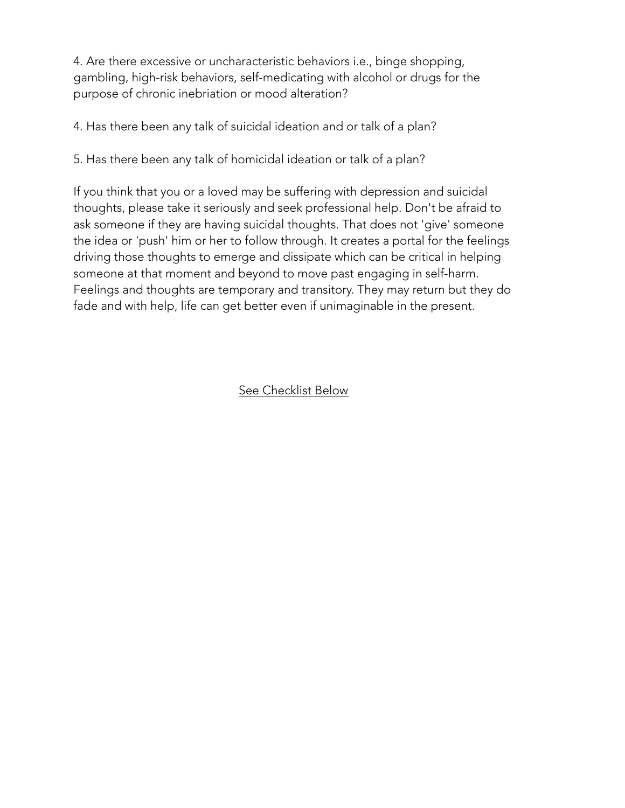4. Are there excessive or uncharacteristic behaviors i.e., binge shopping, gambling, high-risk behaviors, self-medicating with alcohol or drugs for the purpose of chronic inebriation or mood alteration?

4. Has there been any talk of suicidal ideation and or talk of a plan?

5. Has there been any talk of homicidal ideation or talk of a plan?

If you think that you or a loved may be suffering with depression and suicidal thoughts, please take it seriously and seek professional help. Don't be afraid to ask someone if they are having suicidal thoughts. That does not 'give' someone the idea or 'push' him or her to follow through. It creates a portal for the feelings driving those thoughts to emerge and dissipate which can be critical in helping someone at that moment and beyond to move past engaging in self-harm. Feelings and thoughts are temporary and transitory. They may return but they do fade and with help, life can get better even if unimaginable in the present.

See Checklist Below